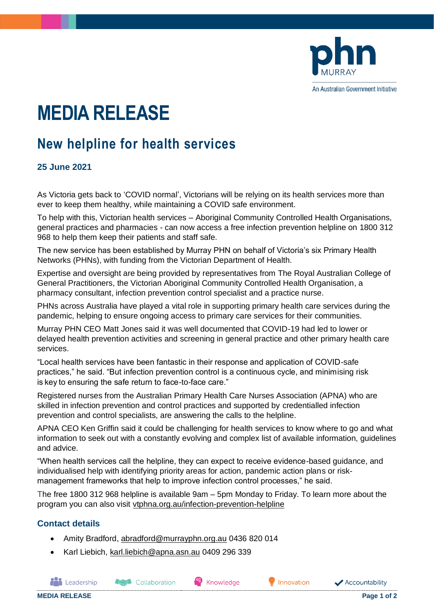

An Australian Government Initiative

# **MEDIA RELEASE**

## **New helpline for health services**

### **25 June 2021**

As Victoria gets back to 'COVID normal', Victorians will be relying on its health services more than ever to keep them healthy, while maintaining a COVID safe environment.

To help with this, Victorian health services – Aboriginal Community Controlled Health Organisations, general practices and pharmacies - can now access a free infection prevention helpline on 1800 312 968 to help them keep their patients and staff safe.

The new service has been established by Murray PHN on behalf of Victoria's six Primary Health Networks (PHNs), with funding from the Victorian Department of Health.

Expertise and oversight are being provided by representatives from The Royal Australian College of General Practitioners, the Victorian Aboriginal Community Controlled Health Organisation, a pharmacy consultant, infection prevention control specialist and a practice nurse.

PHNs across Australia have played a vital role in supporting primary health care services during the pandemic, helping to ensure ongoing access to primary care services for their communities.

Murray PHN CEO Matt Jones said it was well documented that COVID-19 had led to lower or delayed health prevention activities and screening in general practice and other primary health care services.

"Local health services have been fantastic in their response and application of COVID-safe practices," he said. "But infection prevention control is a continuous cycle, and minimising risk is key to ensuring the safe return to face-to-face care."

Registered nurses from the Australian Primary Health Care Nurses Association (APNA) who are skilled in infection prevention and control practices and supported by credentialled infection prevention and control specialists, are answering the calls to the helpline.

APNA CEO Ken Griffin said it could be challenging for health services to know where to go and what information to seek out with a constantly evolving and complex list of available information, guidelines and advice.

"When health services call the helpline, they can expect to receive evidence-based guidance, and individualised help with identifying priority areas for action, pandemic action plans or riskmanagement frameworks that help to improve infection control processes," he said.

The free 1800 312 968 helpline is available 9am – 5pm Monday to Friday. To learn more about the program you can also visit [vtphna.org.au/infection-prevention-helpline](https://vtphna.org.au/our-work/best-practice-prevention-management-and-support/infection-prevention-helpline/)

#### **Contact details**

- Amity Bradford, [abradford@murrayphn.org.au](mailto:abradford@murrayphn.org.au) 0436 820 014
- Karl Liebich, [karl.liebich@apna.asn.au](mailto:karl.liebich@apna.asn.au) 0409 296 339

**Association** 

**MEDIA RELEASE Page 1 of 2**

**And** Leadership

Knowledge



Accountability